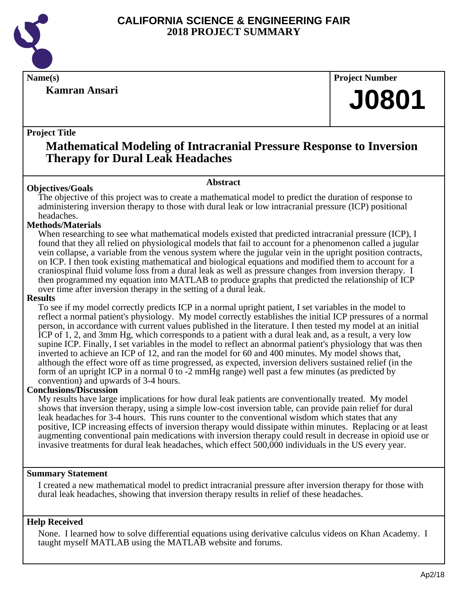

**Kamran Ansari**

**Name(s) Project Number**

# **J0801**

# **Project Title**

# **Mathematical Modeling of Intracranial Pressure Response to Inversion Therapy for Dural Leak Headaches**

# **Abstract**

**Objectives/Goals** The objective of this project was to create a mathematical model to predict the duration of response to administering inversion therapy to those with dural leak or low intracranial pressure (ICP) positional headaches.

# **Methods/Materials**

When researching to see what mathematical models existed that predicted intracranial pressure (ICP), I found that they all relied on physiological models that fail to account for a phenomenon called a jugular vein collapse, a variable from the venous system where the jugular vein in the upright position contracts, on ICP. I then took existing mathematical and biological equations and modified them to account for a craniospinal fluid volume loss from a dural leak as well as pressure changes from inversion therapy. I then programmed my equation into MATLAB to produce graphs that predicted the relationship of ICP over time after inversion therapy in the setting of a dural leak.

#### **Results**

To see if my model correctly predicts ICP in a normal upright patient, I set variables in the model to reflect a normal patient's physiology. My model correctly establishes the initial ICP pressures of a normal person, in accordance with current values published in the literature. I then tested my model at an initial ICP of 1, 2, and 3mm Hg, which corresponds to a patient with a dural leak and, as a result, a very low supine ICP. Finally, I set variables in the model to reflect an abnormal patient's physiology that was then inverted to achieve an ICP of 12, and ran the model for 60 and 400 minutes. My model shows that, although the effect wore off as time progressed, as expected, inversion delivers sustained relief (in the form of an upright ICP in a normal  $\overline{0}$  to -2 mmHg range) well past a few minutes (as predicted by convention) and upwards of 3-4 hours.

# **Conclusions/Discussion**

My results have large implications for how dural leak patients are conventionally treated. My model shows that inversion therapy, using a simple low-cost inversion table, can provide pain relief for dural leak headaches for 3-4 hours. This runs counter to the conventional wisdom which states that any positive, ICP increasing effects of inversion therapy would dissipate within minutes. Replacing or at least augmenting conventional pain medications with inversion therapy could result in decrease in opioid use or invasive treatments for dural leak headaches, which effect 500,000 individuals in the US every year.

# **Summary Statement**

I created a new mathematical model to predict intracranial pressure after inversion therapy for those with dural leak headaches, showing that inversion therapy results in relief of these headaches.

# **Help Received**

None. I learned how to solve differential equations using derivative calculus videos on Khan Academy. I taught myself MATLAB using the MATLAB website and forums.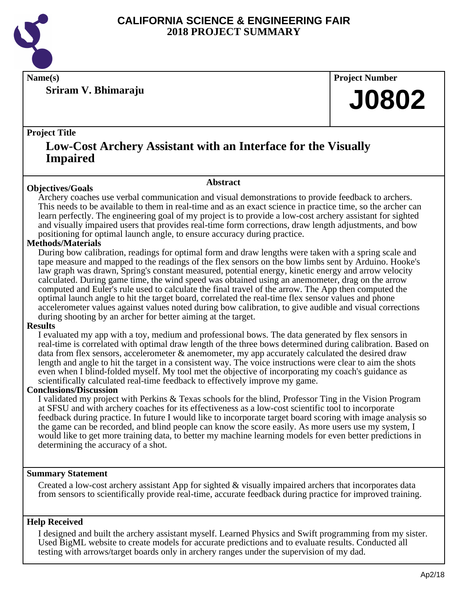

**Sriram V. Bhimaraju**

**Name(s) Project Number**

# **J0802**

# **Project Title**

# **Low-Cost Archery Assistant with an Interface for the Visually Impaired**

# **Objectives/Goals**

**Abstract**

Archery coaches use verbal communication and visual demonstrations to provide feedback to archers. This needs to be available to them in real-time and as an exact science in practice time, so the archer can learn perfectly. The engineering goal of my project is to provide a low-cost archery assistant for sighted and visually impaired users that provides real-time form corrections, draw length adjustments, and bow positioning for optimal launch angle, to ensure accuracy during practice.

# **Methods/Materials**

During bow calibration, readings for optimal form and draw lengths were taken with a spring scale and tape measure and mapped to the readings of the flex sensors on the bow limbs sent by Arduino. Hooke's law graph was drawn, Spring's constant measured, potential energy, kinetic energy and arrow velocity calculated. During game time, the wind speed was obtained using an anemometer, drag on the arrow computed and Euler's rule used to calculate the final travel of the arrow. The App then computed the optimal launch angle to hit the target board, correlated the real-time flex sensor values and phone accelerometer values against values noted during bow calibration, to give audible and visual corrections during shooting by an archer for better aiming at the target.

# **Results**

I evaluated my app with a toy, medium and professional bows. The data generated by flex sensors in real-time is correlated with optimal draw length of the three bows determined during calibration. Based on data from flex sensors, accelerometer & anemometer, my app accurately calculated the desired draw length and angle to hit the target in a consistent way. The voice instructions were clear to aim the shots even when I blind-folded myself. My tool met the objective of incorporating my coach's guidance as scientifically calculated real-time feedback to effectively improve my game.

# **Conclusions/Discussion**

I validated my project with Perkins & Texas schools for the blind, Professor Ting in the Vision Program at SFSU and with archery coaches for its effectiveness as a low-cost scientific tool to incorporate feedback during practice. In future I would like to incorporate target board scoring with image analysis so the game can be recorded, and blind people can know the score easily. As more users use my system, I would like to get more training data, to better my machine learning models for even better predictions in determining the accuracy of a shot.

# **Summary Statement**

Created a low-cost archery assistant App for sighted & visually impaired archers that incorporates data from sensors to scientifically provide real-time, accurate feedback during practice for improved training.

# **Help Received**

I designed and built the archery assistant myself. Learned Physics and Swift programming from my sister. Used BigML website to create models for accurate predictions and to evaluate results. Conducted all testing with arrows/target boards only in archery ranges under the supervision of my dad.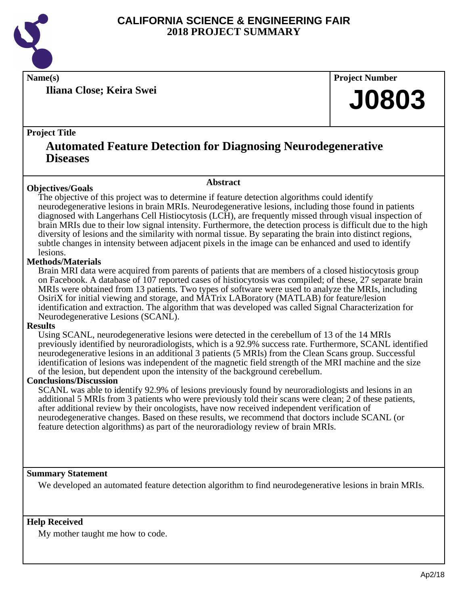

**Iliana Close; Keira Swei**

**Name(s) Project Number**

# **J0803**

# **Project Title**

# **Automated Feature Detection for Diagnosing Neurodegenerative Diseases**

**Abstract**

# **Objectives/Goals**

The objective of this project was to determine if feature detection algorithms could identify neurodegenerative lesions in brain MRIs. Neurodegenerative lesions, including those found in patients diagnosed with Langerhans Cell Histiocytosis (LCH), are frequently missed through visual inspection of brain MRIs due to their low signal intensity. Furthermore, the detection process is difficult due to the high diversity of lesions and the similarity with normal tissue. By separating the brain into distinct regions, subtle changes in intensity between adjacent pixels in the image can be enhanced and used to identify lesions.

# **Methods/Materials**

Brain MRI data were acquired from parents of patients that are members of a closed histiocytosis group on Facebook. A database of 107 reported cases of histiocytosis was compiled; of these, 27 separate brain MRIs were obtained from 13 patients. Two types of software were used to analyze the MRIs, including OsiriX for initial viewing and storage, and MATrix LABoratory (MATLAB) for feature/lesion identification and extraction. The algorithm that was developed was called Signal Characterization for Neurodegenerative Lesions (SCANL).

# **Results**

Using SCANL, neurodegenerative lesions were detected in the cerebellum of 13 of the 14 MRIs previously identified by neuroradiologists, which is a 92.9% success rate. Furthermore, SCANL identified neurodegenerative lesions in an additional 3 patients (5 MRIs) from the Clean Scans group. Successful identification of lesions was independent of the magnetic field strength of the MRI machine and the size of the lesion, but dependent upon the intensity of the background cerebellum.

# **Conclusions/Discussion**

SCANL was able to identify 92.9% of lesions previously found by neuroradiologists and lesions in an additional 5 MRIs from 3 patients who were previously told their scans were clean; 2 of these patients, after additional review by their oncologists, have now received independent verification of neurodegenerative changes. Based on these results, we recommend that doctors include SCANL (or feature detection algorithms) as part of the neuroradiology review of brain MRIs.

# **Summary Statement**

We developed an automated feature detection algorithm to find neurodegenerative lesions in brain MRIs.

# **Help Received**

My mother taught me how to code.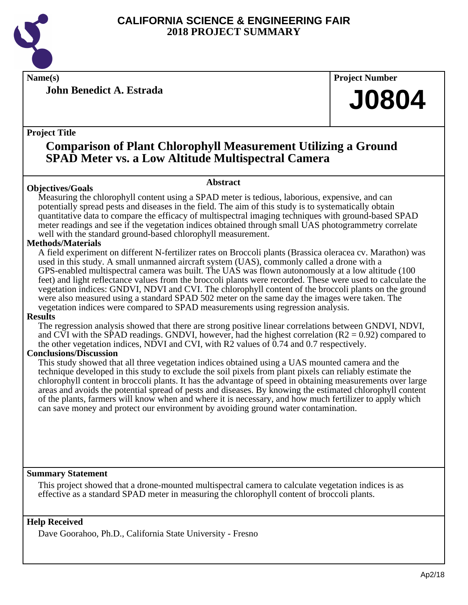

**Name(s) Project Number**

**John Benedict A. Estrada**

**Project Title**

# **Comparison of Plant Chlorophyll Measurement Utilizing a Ground SPAD Meter vs. a Low Altitude Multispectral Camera**

# **Abstract**

Measuring the chlorophyll content using a SPAD meter is tedious, laborious, expensive, and can potentially spread pests and diseases in the field. The aim of this study is to systematically obtain quantitative data to compare the efficacy of multispectral imaging techniques with ground-based SPAD meter readings and see if the vegetation indices obtained through small UAS photogrammetry correlate well with the standard ground-based chlorophyll measurement.

# **Methods/Materials**

**Objectives/Goals**

A field experiment on different N-fertilizer rates on Broccoli plants (Brassica oleracea cv. Marathon) was used in this study. A small unmanned aircraft system (UAS), commonly called a drone with a GPS-enabled multispectral camera was built. The UAS was flown autonomously at a low altitude (100 feet) and light reflectance values from the broccoli plants were recorded. These were used to calculate the vegetation indices: GNDVI, NDVI and CVI. The chlorophyll content of the broccoli plants on the ground were also measured using a standard SPAD 502 meter on the same day the images were taken. The vegetation indices were compared to SPAD measurements using regression analysis.

# **Results**

The regression analysis showed that there are strong positive linear correlations between GNDVI, NDVI, and CVI with the SPAD readings. GNDVI, however, had the highest correlation  $(R2 = 0.92)$  compared to the other vegetation indices, NDVI and CVI, with R2 values of 0.74 and 0.7 respectively.

# **Conclusions/Discussion**

This study showed that all three vegetation indices obtained using a UAS mounted camera and the technique developed in this study to exclude the soil pixels from plant pixels can reliably estimate the chlorophyll content in broccoli plants. It has the advantage of speed in obtaining measurements over large areas and avoids the potential spread of pests and diseases. By knowing the estimated chlorophyll content of the plants, farmers will know when and where it is necessary, and how much fertilizer to apply which can save money and protect our environment by avoiding ground water contamination.

# **Summary Statement**

This project showed that a drone-mounted multispectral camera to calculate vegetation indices is as effective as a standard SPAD meter in measuring the chlorophyll content of broccoli plants.

# **Help Received**

Dave Goorahoo, Ph.D., California State University - Fresno

**J0804**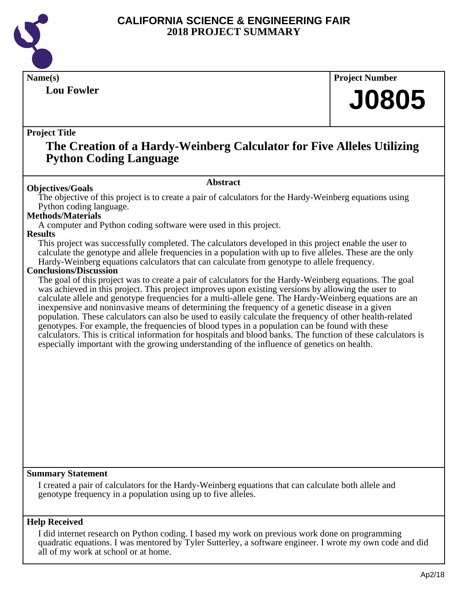

# **Lou Fowler**

**Name(s) Project Number**

# **J0805**

# **Project Title**

# **The Creation of a Hardy-Weinberg Calculator for Five Alleles Utilizing Python Coding Language**

# **Abstract**

**Objectives/Goals** The objective of this project is to create a pair of calculators for the Hardy-Weinberg equations using Python coding language.

# **Methods/Materials**

A computer and Python coding software were used in this project.

#### **Results**

This project was successfully completed. The calculators developed in this project enable the user to calculate the genotype and allele frequencies in a population with up to five alleles. These are the only Hardy-Weinberg equations calculators that can calculate from genotype to allele frequency.

# **Conclusions/Discussion**

The goal of this project was to create a pair of calculators for the Hardy-Weinberg equations. The goal was achieved in this project. This project improves upon existing versions by allowing the user to calculate allele and genotype frequencies for a multi-allele gene. The Hardy-Weinberg equations are an inexpensive and noninvasive means of determining the frequency of a genetic disease in a given population. These calculators can also be used to easily calculate the frequency of other health-related genotypes. For example, the frequencies of blood types in a population can be found with these calculators. This is critical information for hospitals and blood banks. The function of these calculators is especially important with the growing understanding of the influence of genetics on health.

# **Summary Statement**

I created a pair of calculators for the Hardy-Weinberg equations that can calculate both allele and genotype frequency in a population using up to five alleles.

# **Help Received**

I did internet research on Python coding. I based my work on previous work done on programming quadratic equations. I was mentored by Tyler Sutterley, a software engineer. I wrote my own code and did all of my work at school or at home.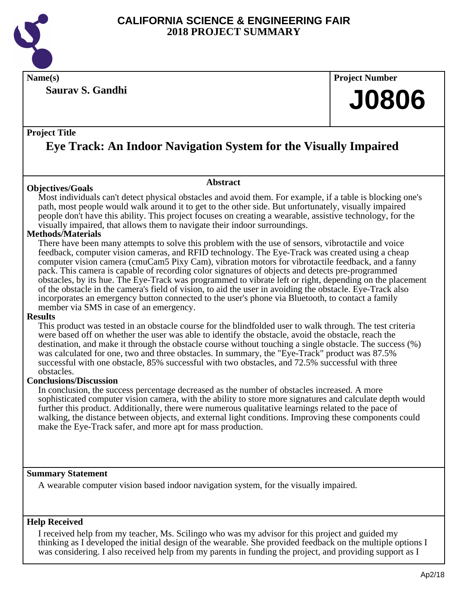

**Saurav S. Gandhi**

**Name(s) Project Number**

# **J0806**

# **Project Title**

# **Eye Track: An Indoor Navigation System for the Visually Impaired**

**Abstract**

# **Objectives/Goals**

Most individuals can't detect physical obstacles and avoid them. For example, if a table is blocking one's path, most people would walk around it to get to the other side. But unfortunately, visually impaired people don't have this ability. This project focuses on creating a wearable, assistive technology, for the visually impaired, that allows them to navigate their indoor surroundings.

# **Methods/Materials**

There have been many attempts to solve this problem with the use of sensors, vibrotactile and voice feedback, computer vision cameras, and RFID technology. The Eye-Track was created using a cheap computer vision camera (cmuCam5 Pixy Cam), vibration motors for vibrotactile feedback, and a fanny pack. This camera is capable of recording color signatures of objects and detects pre-programmed obstacles, by its hue. The Eye-Track was programmed to vibrate left or right, depending on the placement of the obstacle in the camera's field of vision, to aid the user in avoiding the obstacle. Eye-Track also incorporates an emergency button connected to the user's phone via Bluetooth, to contact a family member via SMS in case of an emergency.

# **Results**

This product was tested in an obstacle course for the blindfolded user to walk through. The test criteria were based off on whether the user was able to identify the obstacle, avoid the obstacle, reach the destination, and make it through the obstacle course without touching a single obstacle. The success (%) was calculated for one, two and three obstacles. In summary, the "Eye-Track" product was 87.5% successful with one obstacle, 85% successful with two obstacles, and 72.5% successful with three obstacles.

# **Conclusions/Discussion**

In conclusion, the success percentage decreased as the number of obstacles increased. A more sophisticated computer vision camera, with the ability to store more signatures and calculate depth would further this product. Additionally, there were numerous qualitative learnings related to the pace of walking, the distance between objects, and external light conditions. Improving these components could make the Eye-Track safer, and more apt for mass production.

# **Summary Statement**

A wearable computer vision based indoor navigation system, for the visually impaired.

# **Help Received**

I received help from my teacher, Ms. Scilingo who was my advisor for this project and guided my thinking as I developed the initial design of the wearable. She provided feedback on the multiple options I was considering. I also received help from my parents in funding the project, and providing support as I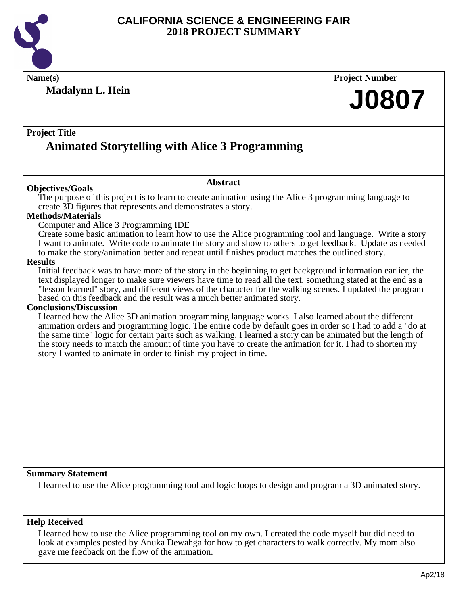

**Name(s) Project Number**

**Madalynn L. Hein**

# **J0807**

# **Project Title**

# **Animated Storytelling with Alice 3 Programming**

# **Objectives/Goals**

The purpose of this project is to learn to create animation using the Alice 3 programming language to create 3D figures that represents and demonstrates a story.

**Abstract**

# **Methods/Materials**

# Computer and Alice 3 Programming IDE

Create some basic animation to learn how to use the Alice programming tool and language. Write a story I want to animate. Write code to animate the story and show to others to get feedback. Update as needed to make the story/animation better and repeat until finishes product matches the outlined story.

#### **Results**

Initial feedback was to have more of the story in the beginning to get background information earlier, the text displayed longer to make sure viewers have time to read all the text, something stated at the end as a "lesson learned" story, and different views of the character for the walking scenes. I updated the program based on this feedback and the result was a much better animated story.

# **Conclusions/Discussion**

I learned how the Alice 3D animation programming language works. I also learned about the different animation orders and programming logic. The entire code by default goes in order so I had to add a "do at the same time" logic for certain parts such as walking. I learned a story can be animated but the length of the story needs to match the amount of time you have to create the animation for it. I had to shorten my story I wanted to animate in order to finish my project in time.

# **Summary Statement**

I learned to use the Alice programming tool and logic loops to design and program a 3D animated story.

# **Help Received**

I learned how to use the Alice programming tool on my own. I created the code myself but did need to look at examples posted by Anuka Dewahga for how to get characters to walk correctly. My mom also gave me feedback on the flow of the animation.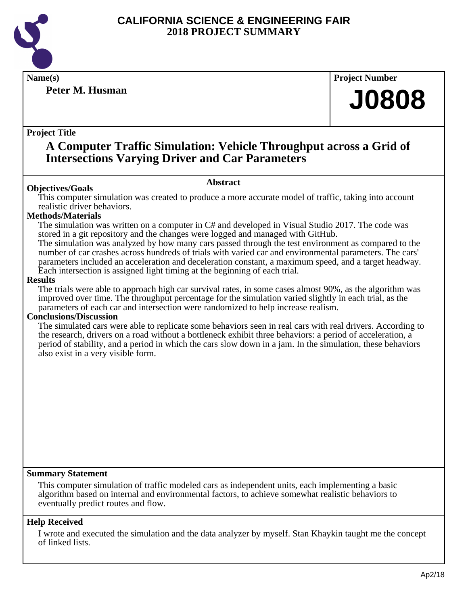

# **Peter M. Husman**

**Name(s) Project Number**

# **J0808**

# **Project Title**

# **A Computer Traffic Simulation: Vehicle Throughput across a Grid of Intersections Varying Driver and Car Parameters**

# **Abstract**

**Objectives/Goals** This computer simulation was created to produce a more accurate model of traffic, taking into account realistic driver behaviors.

# **Methods/Materials**

The simulation was written on a computer in C# and developed in Visual Studio 2017. The code was stored in a git repository and the changes were logged and managed with GitHub.

The simulation was analyzed by how many cars passed through the test environment as compared to the number of car crashes across hundreds of trials with varied car and environmental parameters. The cars' parameters included an acceleration and deceleration constant, a maximum speed, and a target headway. Each intersection is assigned light timing at the beginning of each trial.

# **Results**

The trials were able to approach high car survival rates, in some cases almost 90%, as the algorithm was improved over time. The throughput percentage for the simulation varied slightly in each trial, as the parameters of each car and intersection were randomized to help increase realism.

# **Conclusions/Discussion**

The simulated cars were able to replicate some behaviors seen in real cars with real drivers. According to the research, drivers on a road without a bottleneck exhibit three behaviors: a period of acceleration, a period of stability, and a period in which the cars slow down in a jam. In the simulation, these behaviors also exist in a very visible form.

# **Summary Statement**

This computer simulation of traffic modeled cars as independent units, each implementing a basic algorithm based on internal and environmental factors, to achieve somewhat realistic behaviors to eventually predict routes and flow.

# **Help Received**

I wrote and executed the simulation and the data analyzer by myself. Stan Khaykin taught me the concept of linked lists.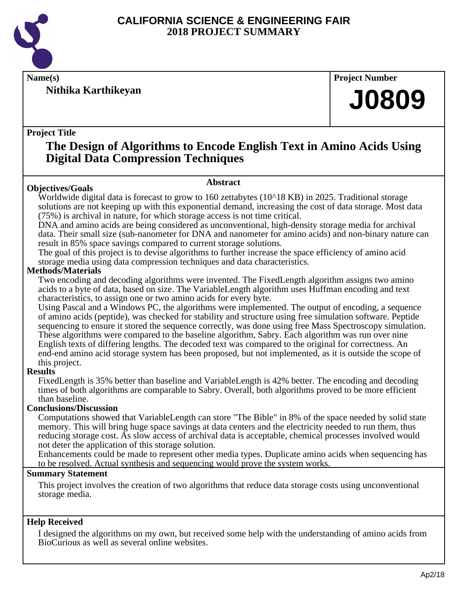

**Nithika Karthikeyan**

**Name(s) Project Number**

# **J0809**

# **Project Title**

**Objectives/Goals**

# **The Design of Algorithms to Encode English Text in Amino Acids Using Digital Data Compression Techniques**

# **Abstract**

Worldwide digital data is forecast to grow to 160 zettabytes (10^18 KB) in 2025. Traditional storage solutions are not keeping up with this exponential demand, increasing the cost of data storage. Most data (75%) is archival in nature, for which storage access is not time critical.

DNA and amino acids are being considered as unconventional, high-density storage media for archival data. Their small size (sub-nanometer for DNA and nanometer for amino acids) and non-binary nature can result in 85% space savings compared to current storage solutions.

The goal of this project is to devise algorithms to further increase the space efficiency of amino acid storage media using data compression techniques and data characteristics.

# **Methods/Materials**

Two encoding and decoding algorithms were invented. The FixedLength algorithm assigns two amino acids to a byte of data, based on size. The VariableLength algorithm uses Huffman encoding and text characteristics, to assign one or two amino acids for every byte.

Using Pascal and a Windows PC, the algorithms were implemented. The output of encoding, a sequence of amino acids (peptide), was checked for stability and structure using free simulation software. Peptide sequencing to ensure it stored the sequence correctly, was done using free Mass Spectroscopy simulation. These algorithms were compared to the baseline algorithm, Sabry. Each algorithm was run over nine English texts of differing lengths. The decoded text was compared to the original for correctness. An end-end amino acid storage system has been proposed, but not implemented, as it is outside the scope of this project.

# **Results**

FixedLength is 35% better than baseline and VariableLength is 42% better. The encoding and decoding times of both algorithms are comparable to Sabry. Overall, both algorithms proved to be more efficient than baseline.

# **Conclusions/Discussion**

Computations showed that VariableLength can store "The Bible" in 8% of the space needed by solid state memory. This will bring huge space savings at data centers and the electricity needed to run them, thus reducing storage cost. As slow access of archival data is acceptable, chemical processes involved would not deter the application of this storage solution.

Enhancements could be made to represent other media types. Duplicate amino acids when sequencing has to be resolved. Actual synthesis and sequencing would prove the system works.

# **Summary Statement**

This project involves the creation of two algorithms that reduce data storage costs using unconventional storage media.

# **Help Received**

I designed the algorithms on my own, but received some help with the understanding of amino acids from BioCurious as well as several online websites.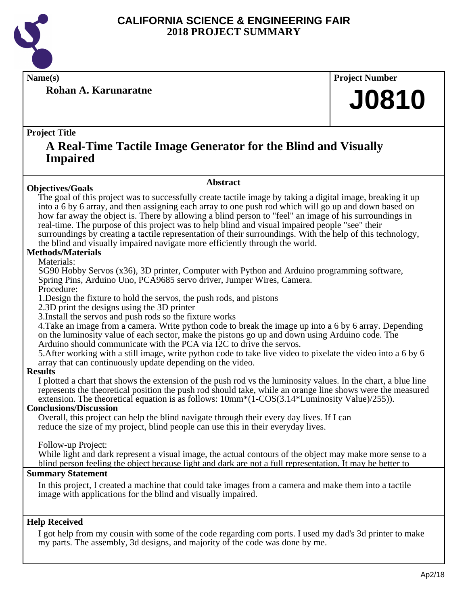

**Rohan A. Karunaratne**

**Name(s) Project Number**

# **J0810**

# **Project Title**

# **A Real-Time Tactile Image Generator for the Blind and Visually Impaired**

# **Objectives/Goals**

The goal of this project was to successfully create tactile image by taking a digital image, breaking it up into a 6 by 6 array, and then assigning each array to one push rod which will go up and down based on how far away the object is. There by allowing a blind person to "feel" an image of his surroundings in real-time. The purpose of this project was to help blind and visual impaired people "see" their surroundings by creating a tactile representation of their surroundings. With the help of this technology, the blind and visually impaired navigate more efficiently through the world.

**Abstract**

# **Methods/Materials**

# Materials:

SG90 Hobby Servos (x36), 3D printer, Computer with Python and Arduino programming software, Spring Pins, Arduino Uno, PCA9685 servo driver, Jumper Wires, Camera.

Procedure:

1. Design the fixture to hold the servos, the push rods, and pistons

2. 3D print the designs using the 3D printer

3. Install the servos and push rods so the fixture works

4. Take an image from a camera. Write python code to break the image up into a 6 by 6 array. Depending on the luminosity value of each sector, make the pistons go up and down using Arduino code. The Arduino should communicate with the PCA via I2C to drive the servos.

5. After working with a still image, write python code to take live video to pixelate the video into a 6 by 6 array that can continuously update depending on the video.

# **Results**

I plotted a chart that shows the extension of the push rod vs the luminosity values. In the chart, a blue line represents the theoretical position the push rod should take, while an orange line shows were the measured extension. The theoretical equation is as follows:  $10mm*(1-COS(3.14*Luminosity Value)/255))$ .

# **Conclusions/Discussion**

Overall, this project can help the blind navigate through their every day lives. If I can reduce the size of my project, blind people can use this in their everyday lives.

Follow-up Project:

While light and dark represent a visual image, the actual contours of the object may make more sense to a blind person feeling the object because light and dark are not a full representation. It may be better to

# **Summary Statement**

In this project, I created a machine that could take images from a camera and make them into a tactile image with applications for the blind and visually impaired.

# **Help Received**

I got help from my cousin with some of the code regarding com ports. I used my dad's 3d printer to make my parts. The assembly, 3d designs, and majority of the code was done by me.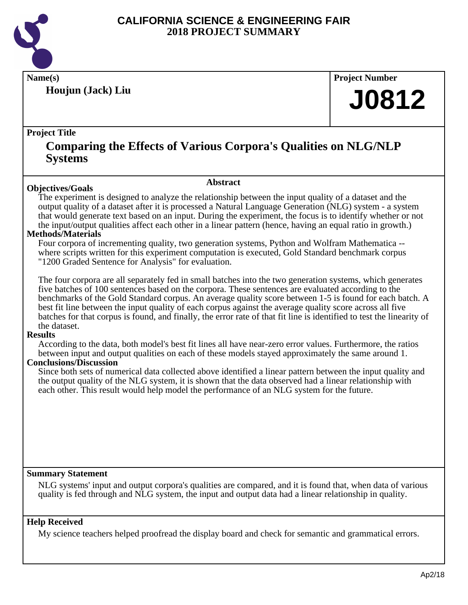

**Houjun (Jack) Liu**

**Name(s) Project Number**

# **J0812**

# **Project Title**

# **Comparing the Effects of Various Corpora's Qualities on NLG/NLP Systems**

**Abstract**

# **Objectives/Goals**

The experiment is designed to analyze the relationship between the input quality of a dataset and the output quality of a dataset after it is processed a Natural Language Generation (NLG) system - a system that would generate text based on an input. During the experiment, the focus is to identify whether or not the input/output qualities affect each other in a linear pattern (hence, having an equal ratio in growth.)

# **Methods/Materials**

Four corpora of incrementing quality, two generation systems, Python and Wolfram Mathematica - where scripts written for this experiment computation is executed, Gold Standard benchmark corpus "1200 Graded Sentence for Analysis" for evaluation.

The four corpora are all separately fed in small batches into the two generation systems, which generates five batches of 100 sentences based on the corpora. These sentences are evaluated according to the benchmarks of the Gold Standard corpus. An average quality score between 1-5 is found for each batch. A best fit line between the input quality of each corpus against the average quality score across all five batches for that corpus is found, and finally, the error rate of that fit line is identified to test the linearity of the dataset.

# **Results**

According to the data, both model's best fit lines all have near-zero error values. Furthermore, the ratios between input and output qualities on each of these models stayed approximately the same around 1.

# **Conclusions/Discussion**

Since both sets of numerical data collected above identified a linear pattern between the input quality and the output quality of the NLG system, it is shown that the data observed had a linear relationship with each other. This result would help model the performance of an NLG system for the future.

# **Summary Statement**

NLG systems' input and output corpora's qualities are compared, and it is found that, when data of various quality is fed through and NLG system, the input and output data had a linear relationship in quality.

# **Help Received**

My science teachers helped proofread the display board and check for semantic and grammatical errors.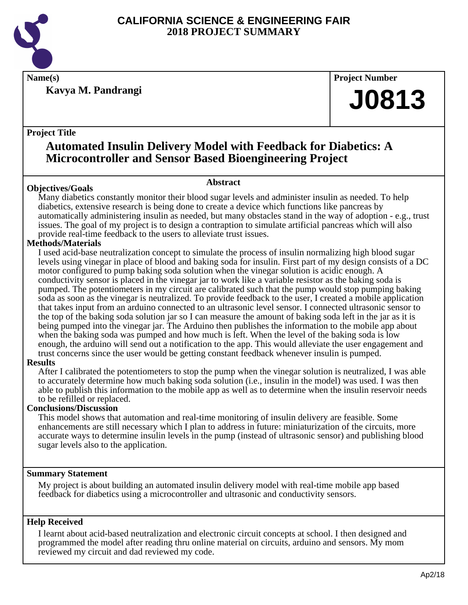

**Kavya M. Pandrangi**

**Name(s) Project Number**

# **J0813**

# **Project Title**

# **Automated Insulin Delivery Model with Feedback for Diabetics: A Microcontroller and Sensor Based Bioengineering Project**

# **Abstract**

**Objectives/Goals** Many diabetics constantly monitor their blood sugar levels and administer insulin as needed. To help diabetics, extensive research is being done to create a device which functions like pancreas by automatically administering insulin as needed, but many obstacles stand in the way of adoption - e.g., trust issues. The goal of my project is to design a contraption to simulate artificial pancreas which will also provide real-time feedback to the users to alleviate trust issues.

# **Methods/Materials**

I used acid-base neutralization concept to simulate the process of insulin normalizing high blood sugar levels using vinegar in place of blood and baking soda for insulin. First part of my design consists of a DC motor configured to pump baking soda solution when the vinegar solution is acidic enough. A conductivity sensor is placed in the vinegar jar to work like a variable resistor as the baking soda is pumped. The potentiometers in my circuit are calibrated such that the pump would stop pumping baking soda as soon as the vinegar is neutralized. To provide feedback to the user, I created a mobile application that takes input from an arduino connected to an ultrasonic level sensor. I connected ultrasonic sensor to the top of the baking soda solution jar so I can measure the amount of baking soda left in the jar as it is being pumped into the vinegar jar. The Arduino then publishes the information to the mobile app about when the baking soda was pumped and how much is left. When the level of the baking soda is low enough, the arduino will send out a notification to the app. This would alleviate the user engagement and trust concerns since the user would be getting constant feedback whenever insulin is pumped.

# **Results**

After I calibrated the potentiometers to stop the pump when the vinegar solution is neutralized, I was able to accurately determine how much baking soda solution (i.e., insulin in the model) was used. I was then able to publish this information to the mobile app as well as to determine when the insulin reservoir needs to be refilled or replaced.

# **Conclusions/Discussion**

This model shows that automation and real-time monitoring of insulin delivery are feasible. Some enhancements are still necessary which I plan to address in future: miniaturization of the circuits, more accurate ways to determine insulin levels in the pump (instead of ultrasonic sensor) and publishing blood sugar levels also to the application.

# **Summary Statement**

My project is about building an automated insulin delivery model with real-time mobile app based feedback for diabetics using a microcontroller and ultrasonic and conductivity sensors.

# **Help Received**

I learnt about acid-based neutralization and electronic circuit concepts at school. I then designed and programmed the model after reading thru online material on circuits, arduino and sensors. My mom reviewed my circuit and dad reviewed my code.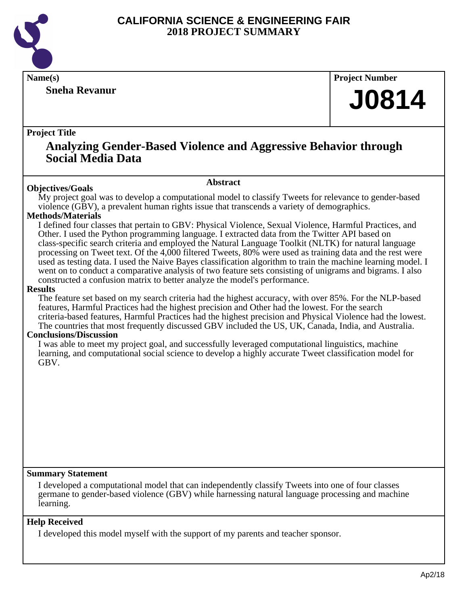

# **Sneha Revanur**

**Name(s) Project Number**

# **J0814**

# **Project Title**

# **Analyzing Gender-Based Violence and Aggressive Behavior through Social Media Data**

**Abstract**

**Objectives/Goals** My project goal was to develop a computational model to classify Tweets for relevance to gender-based violence (GBV), a prevalent human rights issue that transcends a variety of demographics.

# **Methods/Materials**

I defined four classes that pertain to GBV: Physical Violence, Sexual Violence, Harmful Practices, and Other. I used the Python programming language. I extracted data from the Twitter API based on class-specific search criteria and employed the Natural Language Toolkit (NLTK) for natural language processing on Tweet text. Of the 4,000 filtered Tweets, 80% were used as training data and the rest were used as testing data. I used the Naive Bayes classification algorithm to train the machine learning model. I went on to conduct a comparative analysis of two feature sets consisting of unigrams and bigrams. I also constructed a confusion matrix to better analyze the model's performance.

# **Results**

The feature set based on my search criteria had the highest accuracy, with over 85%. For the NLP-based features, Harmful Practices had the highest precision and Other had the lowest. For the search criteria-based features, Harmful Practices had the highest precision and Physical Violence had the lowest. The countries that most frequently discussed GBV included the US, UK, Canada, India, and Australia.

# **Conclusions/Discussion**

I was able to meet my project goal, and successfully leveraged computational linguistics, machine learning, and computational social science to develop a highly accurate Tweet classification model for GBV.

# **Summary Statement**

I developed a computational model that can independently classify Tweets into one of four classes germane to gender-based violence (GBV) while harnessing natural language processing and machine learning.

# **Help Received**

I developed this model myself with the support of my parents and teacher sponsor.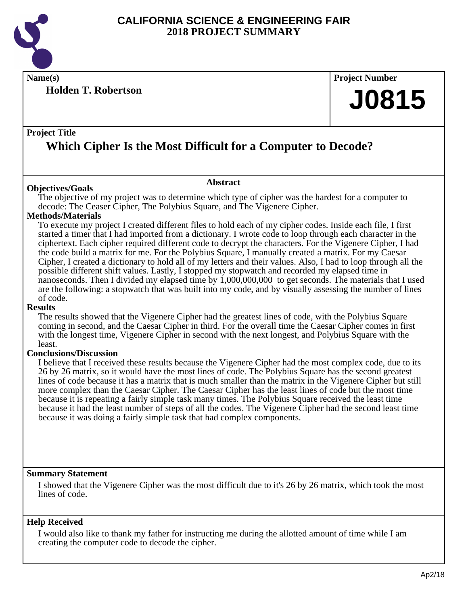

**Name(s) Project Number**

**Holden T. Robertson**

# **J0815**

# **Project Title**

# **Which Cipher Is the Most Difficult for a Computer to Decode?**

# **Abstract**

The objective of my project was to determine which type of cipher was the hardest for a computer to decode: The Ceaser Cipher, The Polybius Square, and The Vigenere Cipher.

# **Methods/Materials**

**Objectives/Goals**

To execute my project I created different files to hold each of my cipher codes. Inside each file, I first started a timer that I had imported from a dictionary. I wrote code to loop through each character in the ciphertext. Each cipher required different code to decrypt the characters. For the Vigenere Cipher, I had the code build a matrix for me. For the Polybius Square, I manually created a matrix. For my Caesar Cipher, I created a dictionary to hold all of my letters and their values. Also, I had to loop through all the possible different shift values. Lastly, I stopped my stopwatch and recorded my elapsed time in nanoseconds. Then I divided my elapsed time by 1,000,000,000 to get seconds. The materials that I used are the following: a stopwatch that was built into my code, and by visually assessing the number of lines of code.

# **Results**

The results showed that the Vigenere Cipher had the greatest lines of code, with the Polybius Square coming in second, and the Caesar Cipher in third. For the overall time the Caesar Cipher comes in first with the longest time, Vigenere Cipher in second with the next longest, and Polybius Square with the least.

# **Conclusions/Discussion**

I believe that I received these results because the Vigenere Cipher had the most complex code, due to its 26 by 26 matrix, so it would have the most lines of code. The Polybius Square has the second greatest lines of code because it has a matrix that is much smaller than the matrix in the Vigenere Cipher but still more complex than the Caesar Cipher. The Caesar Cipher has the least lines of code but the most time because it is repeating a fairly simple task many times. The Polybius Square received the least time because it had the least number of steps of all the codes. The Vigenere Cipher had the second least time because it was doing a fairly simple task that had complex components.

# **Summary Statement**

I showed that the Vigenere Cipher was the most difficult due to it's 26 by 26 matrix, which took the most lines of code.

# **Help Received**

I would also like to thank my father for instructing me during the allotted amount of time while I am creating the computer code to decode the cipher.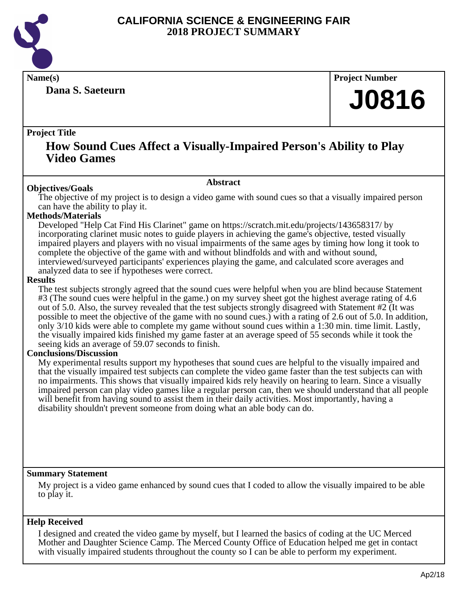

**Dana S. Saeteurn**

**Name(s) Project Number**

# **J0816**

# **Project Title**

# **How Sound Cues Affect a Visually-Impaired Person's Ability to Play Video Games**

#### **Abstract**

**Objectives/Goals** The objective of my project is to design a video game with sound cues so that a visually impaired person can have the ability to play it.

# **Methods/Materials**

Developed "Help Cat Find His Clarinet" game on https://scratch.mit.edu/projects/143658317/ by incorporating clarinet music notes to guide players in achieving the game's objective, tested visually impaired players and players with no visual impairments of the same ages by timing how long it took to complete the objective of the game with and without blindfolds and with and without sound, interviewed/surveyed participants' experiences playing the game, and calculated score averages and analyzed data to see if hypotheses were correct.

# **Results**

The test subjects strongly agreed that the sound cues were helpful when you are blind because Statement #3 (The sound cues were helpful in the game.) on my survey sheet got the highest average rating of 4.6 out of 5.0. Also, the survey revealed that the test subjects strongly disagreed with Statement #2 (It was possible to meet the objective of the game with no sound cues.) with a rating of 2.6 out of 5.0. In addition, only 3/10 kids were able to complete my game without sound cues within a 1:30 min. time limit. Lastly, the visually impaired kids finished my game faster at an average speed of 55 seconds while it took the seeing kids an average of 59.07 seconds to finish.

# **Conclusions/Discussion**

My experimental results support my hypotheses that sound cues are helpful to the visually impaired and that the visually impaired test subjects can complete the video game faster than the test subjects can with no impairments. This shows that visually impaired kids rely heavily on hearing to learn. Since a visually impaired person can play video games like a regular person can, then we should understand that all people will benefit from having sound to assist them in their daily activities. Most importantly, having a disability shouldn't prevent someone from doing what an able body can do.

# **Summary Statement**

My project is a video game enhanced by sound cues that I coded to allow the visually impaired to be able to play it.

# **Help Received**

I designed and created the video game by myself, but I learned the basics of coding at the UC Merced Mother and Daughter Science Camp. The Merced County Office of Education helped me get in contact with visually impaired students throughout the county so I can be able to perform my experiment.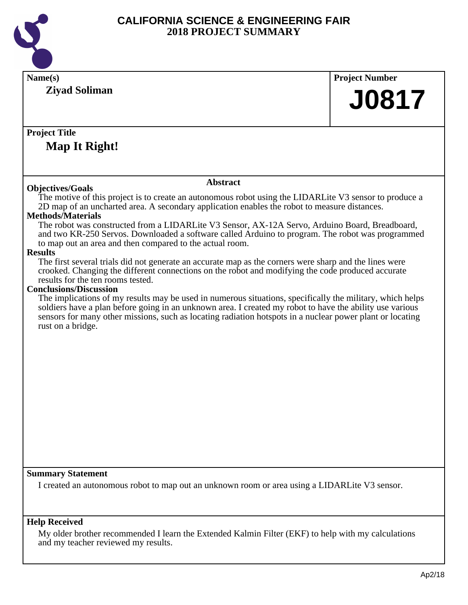

| Name(s)<br><b>Ziyad Soliman</b>                                                                                                                                                                                                                                                                                                                                                                                                                                                                                                                                                                                                                                                                                                                                                                                                                                                                                                                                                                                                                                                                                                                                                                    | <b>Project Number</b> |
|----------------------------------------------------------------------------------------------------------------------------------------------------------------------------------------------------------------------------------------------------------------------------------------------------------------------------------------------------------------------------------------------------------------------------------------------------------------------------------------------------------------------------------------------------------------------------------------------------------------------------------------------------------------------------------------------------------------------------------------------------------------------------------------------------------------------------------------------------------------------------------------------------------------------------------------------------------------------------------------------------------------------------------------------------------------------------------------------------------------------------------------------------------------------------------------------------|-----------------------|
|                                                                                                                                                                                                                                                                                                                                                                                                                                                                                                                                                                                                                                                                                                                                                                                                                                                                                                                                                                                                                                                                                                                                                                                                    | <b>J0817</b>          |
| <b>Project Title</b><br>Map It Right!                                                                                                                                                                                                                                                                                                                                                                                                                                                                                                                                                                                                                                                                                                                                                                                                                                                                                                                                                                                                                                                                                                                                                              |                       |
|                                                                                                                                                                                                                                                                                                                                                                                                                                                                                                                                                                                                                                                                                                                                                                                                                                                                                                                                                                                                                                                                                                                                                                                                    |                       |
| <b>Abstract</b>                                                                                                                                                                                                                                                                                                                                                                                                                                                                                                                                                                                                                                                                                                                                                                                                                                                                                                                                                                                                                                                                                                                                                                                    |                       |
| <b>Objectives/Goals</b><br>The motive of this project is to create an autonomous robot using the LIDARLite V3 sensor to produce a<br>2D map of an uncharted area. A secondary application enables the robot to measure distances.<br><b>Methods</b> /Materials<br>The robot was constructed from a LIDARLite V3 Sensor, AX-12A Servo, Arduino Board, Breadboard,<br>and two KR-250 Servos. Downloaded a software called Arduino to program. The robot was programmed<br>to map out an area and then compared to the actual room.<br><b>Results</b><br>The first several trials did not generate an accurate map as the corners were sharp and the lines were<br>crooked. Changing the different connections on the robot and modifying the code produced accurate<br>results for the ten rooms tested.<br><b>Conclusions/Discussion</b><br>The implications of my results may be used in numerous situations, specifically the military, which helps<br>soldiers have a plan before going in an unknown area. I created my robot to have the ability use various<br>sensors for many other missions, such as locating radiation hotspots in a nuclear power plant or locating<br>rust on a bridge. |                       |
| <b>Summary Statement</b>                                                                                                                                                                                                                                                                                                                                                                                                                                                                                                                                                                                                                                                                                                                                                                                                                                                                                                                                                                                                                                                                                                                                                                           |                       |
| I created an autonomous robot to map out an unknown room or area using a LIDARLite V3 sensor.                                                                                                                                                                                                                                                                                                                                                                                                                                                                                                                                                                                                                                                                                                                                                                                                                                                                                                                                                                                                                                                                                                      |                       |
| <b>Help Received</b><br>My older brother recommended I learn the Extended Kalmin Filter (EKF) to help with my calculations                                                                                                                                                                                                                                                                                                                                                                                                                                                                                                                                                                                                                                                                                                                                                                                                                                                                                                                                                                                                                                                                         |                       |